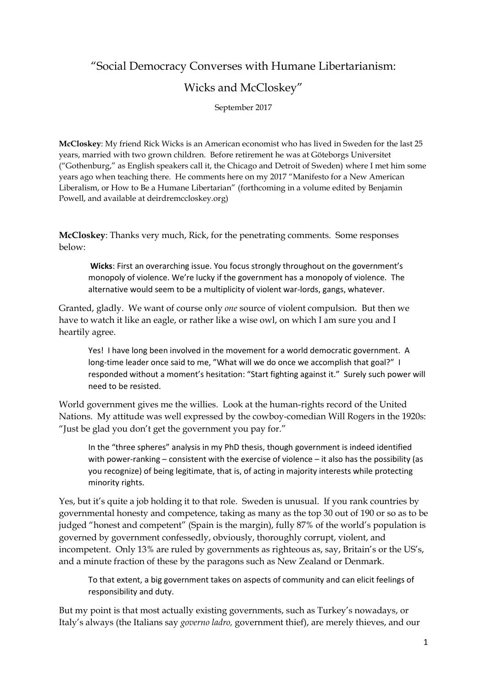## "Social Democracy Converses with Humane Libertarianism:

## Wicks and McCloskey"

September 2017

**McCloskey**: My friend Rick Wicks is an American economist who has lived in Sweden for the last 25 years, married with two grown children. Before retirement he was at Göteborgs Universitet ("Gothenburg," as English speakers call it, the Chicago and Detroit of Sweden) where I met him some years ago when teaching there. He comments here on my 2017 "Manifesto for a New American Liberalism, or How to Be a Humane Libertarian" (forthcoming in a volume edited by Benjamin Powell, and available at deirdremccloskey.org)

**McCloskey**: Thanks very much, Rick, for the penetrating comments. Some responses below:

**Wicks**: First an overarching issue. You focus strongly throughout on the government's monopoly of violence. We're lucky if the government has a monopoly of violence. The alternative would seem to be a multiplicity of violent war-lords, gangs, whatever.

Granted, gladly. We want of course only *one* source of violent compulsion. But then we have to watch it like an eagle, or rather like a wise owl, on which I am sure you and I heartily agree.

Yes! I have long been involved in the movement for a world democratic government. A long-time leader once said to me, "What will we do once we accomplish that goal?" I responded without a moment's hesitation: "Start fighting against it." Surely such power will need to be resisted.

World government gives me the willies. Look at the human-rights record of the United Nations. My attitude was well expressed by the cowboy-comedian Will Rogers in the 1920s: "Just be glad you don't get the government you pay for."

In the "three spheres" analysis in my PhD thesis, though government is indeed identified with power-ranking – consistent with the exercise of violence – it also has the possibility (as you recognize) of being legitimate, that is, of acting in majority interests while protecting minority rights.

Yes, but it's quite a job holding it to that role. Sweden is unusual. If you rank countries by governmental honesty and competence, taking as many as the top 30 out of 190 or so as to be judged "honest and competent" (Spain is the margin), fully 87% of the world's population is governed by government confessedly, obviously, thoroughly corrupt, violent, and incompetent. Only 13% are ruled by governments as righteous as, say, Britain's or the US's, and a minute fraction of these by the paragons such as New Zealand or Denmark.

To that extent, a big government takes on aspects of community and can elicit feelings of responsibility and duty.

But my point is that most actually existing governments, such as Turkey's nowadays, or Italy's always (the Italians say *governo ladro,* government thief), are merely thieves, and our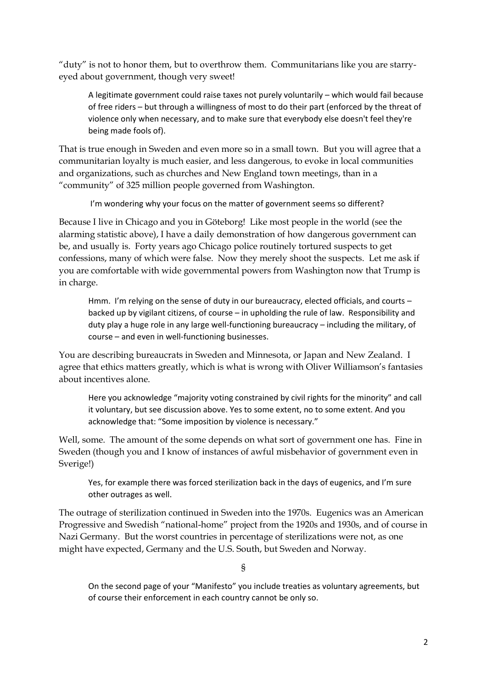"duty" is not to honor them, but to overthrow them. Communitarians like you are starryeyed about government, though very sweet!

A legitimate government could raise taxes not purely voluntarily – which would fail because of free riders – but through a willingness of most to do their part (enforced by the threat of violence only when necessary, and to make sure that everybody else doesn't feel they're being made fools of).

That is true enough in Sweden and even more so in a small town. But you will agree that a communitarian loyalty is much easier, and less dangerous, to evoke in local communities and organizations, such as churches and New England town meetings, than in a "community" of 325 million people governed from Washington.

I'm wondering why your focus on the matter of government seems so different?

Because I live in Chicago and you in Göteborg! Like most people in the world (see the alarming statistic above), I have a daily demonstration of how dangerous government can be, and usually is. Forty years ago Chicago police routinely tortured suspects to get confessions, many of which were false. Now they merely shoot the suspects. Let me ask if you are comfortable with wide governmental powers from Washington now that Trump is in charge.

Hmm. I'm relying on the sense of duty in our bureaucracy, elected officials, and courts – backed up by vigilant citizens, of course – in upholding the rule of law. Responsibility and duty play a huge role in any large well-functioning bureaucracy – including the military, of course – and even in well-functioning businesses.

You are describing bureaucrats in Sweden and Minnesota, or Japan and New Zealand. I agree that ethics matters greatly, which is what is wrong with Oliver Williamson's fantasies about incentives alone.

Here you acknowledge "majority voting constrained by civil rights for the minority" and call it voluntary, but see discussion above. Yes to some extent, no to some extent. And you acknowledge that: "Some imposition by violence is necessary."

Well, some. The amount of the some depends on what sort of government one has. Fine in Sweden (though you and I know of instances of awful misbehavior of government even in Sverige!)

Yes, for example there was forced sterilization back in the days of eugenics, and I'm sure other outrages as well.

The outrage of sterilization continued in Sweden into the 1970s. Eugenics was an American Progressive and Swedish "national-home" project from the 1920s and 1930s, and of course in Nazi Germany. But the worst countries in percentage of sterilizations were not, as one might have expected, Germany and the U.S. South, but Sweden and Norway.

§

On the second page of your "Manifesto" you include treaties as voluntary agreements, but of course their enforcement in each country cannot be only so.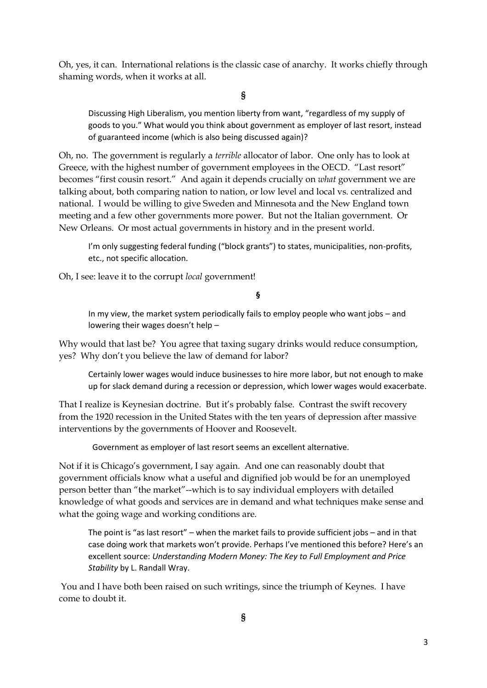Oh, yes, it can. International relations is the classic case of anarchy. It works chiefly through shaming words, when it works at all.

**§**

Discussing High Liberalism, you mention liberty from want, "regardless of my supply of goods to you." What would you think about government as employer of last resort, instead of guaranteed income (which is also being discussed again)?

Oh, no. The government is regularly a *terrible* allocator of labor. One only has to look at Greece, with the highest number of government employees in the OECD. "Last resort" becomes "first cousin resort." And again it depends crucially on *what* government we are talking about, both comparing nation to nation, or low level and local vs. centralized and national. I would be willing to give Sweden and Minnesota and the New England town meeting and a few other governments more power. But not the Italian government. Or New Orleans. Or most actual governments in history and in the present world.

I'm only suggesting federal funding ("block grants") to states, municipalities, non-profits, etc., not specific allocation.

Oh, I see: leave it to the corrupt *local* government!

**§**

In my view, the market system periodically fails to employ people who want jobs – and lowering their wages doesn't help –

Why would that last be? You agree that taxing sugary drinks would reduce consumption, yes? Why don't you believe the law of demand for labor?

Certainly lower wages would induce businesses to hire more labor, but not enough to make up for slack demand during a recession or depression, which lower wages would exacerbate.

That I realize is Keynesian doctrine. But it's probably false. Contrast the swift recovery from the 1920 recession in the United States with the ten years of depression after massive interventions by the governments of Hoover and Roosevelt.

Government as employer of last resort seems an excellent alternative.

Not if it is Chicago's government, I say again. And one can reasonably doubt that government officials know what a useful and dignified job would be for an unemployed person better than "the market"--which is to say individual employers with detailed knowledge of what goods and services are in demand and what techniques make sense and what the going wage and working conditions are.

The point is "as last resort" – when the market fails to provide sufficient jobs – and in that case doing work that markets won't provide. Perhaps I've mentioned this before? Here's an excellent source: *Understanding Modern Money: The Key to Full Employment and Price Stability* by L. Randall Wray.

You and I have both been raised on such writings, since the triumph of Keynes. I have come to doubt it.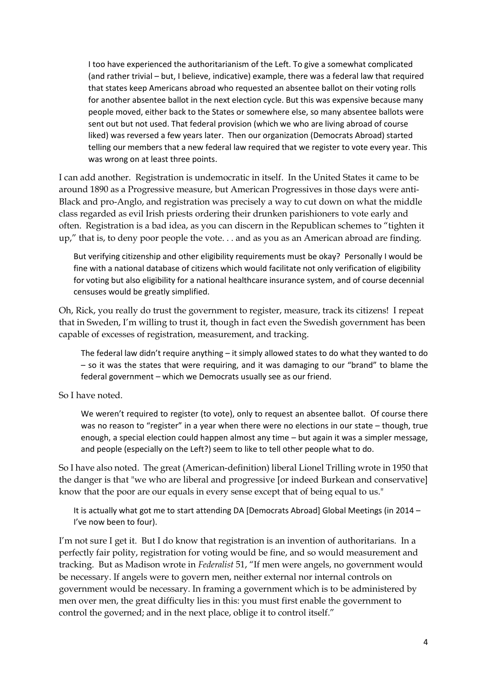I too have experienced the authoritarianism of the Left. To give a somewhat complicated (and rather trivial – but, I believe, indicative) example, there was a federal law that required that states keep Americans abroad who requested an absentee ballot on their voting rolls for another absentee ballot in the next election cycle. But this was expensive because many people moved, either back to the States or somewhere else, so many absentee ballots were sent out but not used. That federal provision (which we who are living abroad of course liked) was reversed a few years later. Then our organization (Democrats Abroad) started telling our members that a new federal law required that we register to vote every year. This was wrong on at least three points.

I can add another. Registration is undemocratic in itself. In the United States it came to be around 1890 as a Progressive measure, but American Progressives in those days were anti-Black and pro-Anglo, and registration was precisely a way to cut down on what the middle class regarded as evil Irish priests ordering their drunken parishioners to vote early and often. Registration is a bad idea, as you can discern in the Republican schemes to "tighten it up," that is, to deny poor people the vote. . . and as you as an American abroad are finding.

But verifying citizenship and other eligibility requirements must be okay? Personally I would be fine with a national database of citizens which would facilitate not only verification of eligibility for voting but also eligibility for a national healthcare insurance system, and of course decennial censuses would be greatly simplified.

Oh, Rick, you really do trust the government to register, measure, track its citizens! I repeat that in Sweden, I'm willing to trust it, though in fact even the Swedish government has been capable of excesses of registration, measurement, and tracking.

The federal law didn't require anything – it simply allowed states to do what they wanted to do – so it was the states that were requiring, and it was damaging to our "brand" to blame the federal government – which we Democrats usually see as our friend.

So I have noted.

We weren't required to register (to vote), only to request an absentee ballot. Of course there was no reason to "register" in a year when there were no elections in our state – though, true enough, a special election could happen almost any time – but again it was a simpler message, and people (especially on the Left?) seem to like to tell other people what to do.

So I have also noted. The great (American-definition) liberal Lionel Trilling wrote in 1950 that the danger is that "we who are liberal and progressive [or indeed Burkean and conservative] know that the poor are our equals in every sense except that of being equal to us."

It is actually what got me to start attending DA [Democrats Abroad] Global Meetings (in 2014 – I've now been to four).

I'm not sure I get it. But I do know that registration is an invention of authoritarians. In a perfectly fair polity, registration for voting would be fine, and so would measurement and tracking. But as Madison wrote in *Federalist* 51, "If men were angels, no government would be necessary. If angels were to govern men, neither external nor internal controls on government would be necessary. In framing a government which is to be administered by men over men, the great difficulty lies in this: you must first enable the government to control the governed; and in the next place, oblige it to control itself."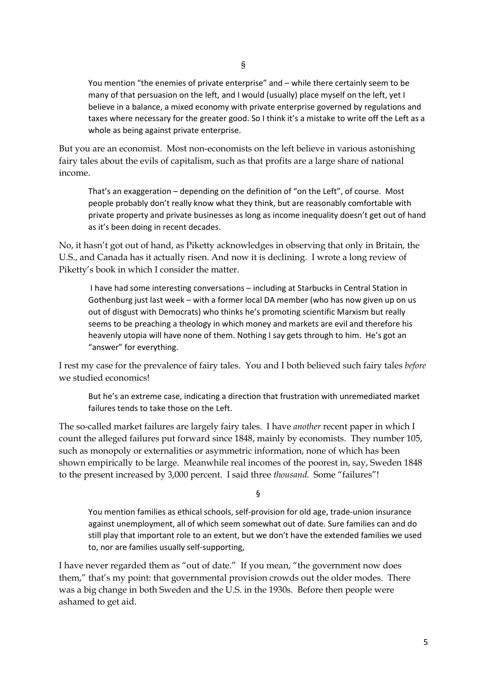You mention "the enemies of private enterprise" and – while there certainly seem to be many of that persuasion on the left, and I would (usually) place myself on the left, yet I believe in a balance, a mixed economy with private enterprise governed by regulations and taxes where necessary for the greater good. So I think it's a mistake to write off the Left as a whole as being against private enterprise.

But you are an economist. Most non-economists on the left believe in various astonishing fairy tales about the evils of capitalism, such as that profits are a large share of national income.

That's an exaggeration – depending on the definition of "on the Left", of course. Most people probably don't really know what they think, but are reasonably comfortable with private property and private businesses as long as income inequality doesn't get out of hand as it's been doing in recent decades.

No, it hasn't got out of hand, as Piketty acknowledges in observing that only in Britain, the U.S., and Canada has it actually risen. And now it is declining. I wrote a long review of Piketty's book in which I consider the matter.

I have had some interesting conversations – including at Starbucks in Central Station in Gothenburg just last week – with a former local DA member (who has now given up on us out of disgust with Democrats) who thinks he's promoting scientific Marxism but really seems to be preaching a theology in which money and markets are evil and therefore his heavenly utopia will have none of them. Nothing I say gets through to him. He's got an "answer" for everything.

I rest my case for the prevalence of fairy tales. You and I both believed such fairy tales *before* we studied economics!

But he's an extreme case, indicating a direction that frustration with unremediated market failures tends to take those on the Left.

The so-called market failures are largely fairy tales. I have *another* recent paper in which I count the alleged failures put forward since 1848, mainly by economists. They number 105, such as monopoly or externalities or asymmetric information, none of which has been shown empirically to be large. Meanwhile real incomes of the poorest in, say, Sweden 1848 to the present increased by 3,000 percent. I said three *thousand*. Some "failures"!

§

You mention families as ethical schools, self-provision for old age, trade-union insurance against unemployment, all of which seem somewhat out of date. Sure families can and do still play that important role to an extent, but we don't have the extended families we used to, nor are families usually self-supporting,

I have never regarded them as "out of date." If you mean, "the government now does them," that's my point: that governmental provision crowds out the older modes. There was a big change in both Sweden and the U.S. in the 1930s. Before then people were ashamed to get aid.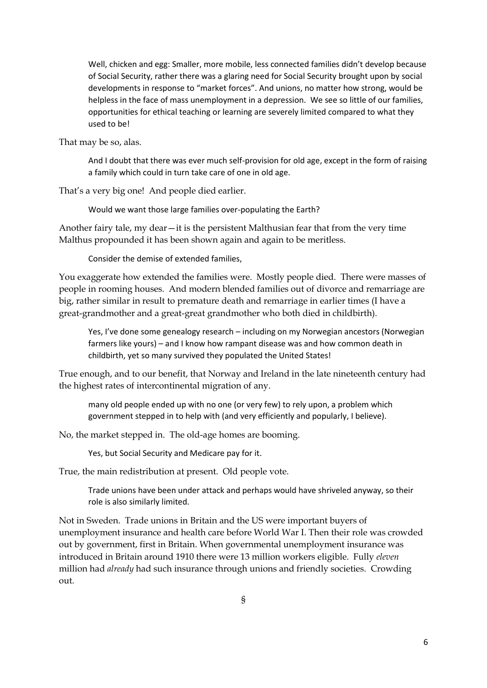Well, chicken and egg: Smaller, more mobile, less connected families didn't develop because of Social Security, rather there was a glaring need for Social Security brought upon by social developments in response to "market forces". And unions, no matter how strong, would be helpless in the face of mass unemployment in a depression. We see so little of our families, opportunities for ethical teaching or learning are severely limited compared to what they used to be!

That may be so, alas.

And I doubt that there was ever much self-provision for old age, except in the form of raising a family which could in turn take care of one in old age.

That's a very big one! And people died earlier.

Would we want those large families over-populating the Earth?

Another fairy tale, my dear—it is the persistent Malthusian fear that from the very time Malthus propounded it has been shown again and again to be meritless.

Consider the demise of extended families,

You exaggerate how extended the families were. Mostly people died. There were masses of people in rooming houses. And modern blended families out of divorce and remarriage are big, rather similar in result to premature death and remarriage in earlier times (I have a great-grandmother and a great-great grandmother who both died in childbirth).

Yes, I've done some genealogy research – including on my Norwegian ancestors (Norwegian farmers like yours) – and I know how rampant disease was and how common death in childbirth, yet so many survived they populated the United States!

True enough, and to our benefit, that Norway and Ireland in the late nineteenth century had the highest rates of intercontinental migration of any.

many old people ended up with no one (or very few) to rely upon, a problem which government stepped in to help with (and very efficiently and popularly, I believe).

No, the market stepped in. The old-age homes are booming.

Yes, but Social Security and Medicare pay for it.

True, the main redistribution at present. Old people vote.

Trade unions have been under attack and perhaps would have shriveled anyway, so their role is also similarly limited.

Not in Sweden. Trade unions in Britain and the US were important buyers of unemployment insurance and health care before World War I. Then their role was crowded out by government, first in Britain. When governmental unemployment insurance was introduced in Britain around 1910 there were 13 million workers eligible. Fully *eleven* million had *already* had such insurance through unions and friendly societies. Crowding out.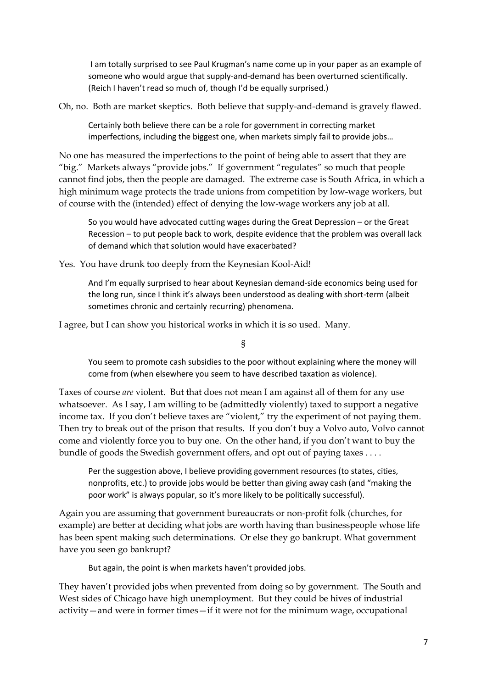I am totally surprised to see Paul Krugman's name come up in your paper as an example of someone who would argue that supply-and-demand has been overturned scientifically. (Reich I haven't read so much of, though I'd be equally surprised.)

Oh, no. Both are market skeptics. Both believe that supply-and-demand is gravely flawed.

Certainly both believe there can be a role for government in correcting market imperfections, including the biggest one, when markets simply fail to provide jobs…

No one has measured the imperfections to the point of being able to assert that they are "big." Markets always "provide jobs." If government "regulates" so much that people cannot find jobs, then the people are damaged. The extreme case is South Africa, in which a high minimum wage protects the trade unions from competition by low-wage workers, but of course with the (intended) effect of denying the low-wage workers any job at all.

So you would have advocated cutting wages during the Great Depression – or the Great Recession – to put people back to work, despite evidence that the problem was overall lack of demand which that solution would have exacerbated?

Yes. You have drunk too deeply from the Keynesian Kool-Aid!

And I'm equally surprised to hear about Keynesian demand-side economics being used for the long run, since I think it's always been understood as dealing with short-term (albeit sometimes chronic and certainly recurring) phenomena.

I agree, but I can show you historical works in which it is so used. Many.

§

You seem to promote cash subsidies to the poor without explaining where the money will come from (when elsewhere you seem to have described taxation as violence).

Taxes of course *are* violent. But that does not mean I am against all of them for any use whatsoever. As I say, I am willing to be (admittedly violently) taxed to support a negative income tax. If you don't believe taxes are "violent," try the experiment of not paying them. Then try to break out of the prison that results. If you don't buy a Volvo auto, Volvo cannot come and violently force you to buy one. On the other hand, if you don't want to buy the bundle of goods the Swedish government offers, and opt out of paying taxes . . . .

Per the suggestion above, I believe providing government resources (to states, cities, nonprofits, etc.) to provide jobs would be better than giving away cash (and "making the poor work" is always popular, so it's more likely to be politically successful).

Again you are assuming that government bureaucrats or non-profit folk (churches, for example) are better at deciding what jobs are worth having than businesspeople whose life has been spent making such determinations. Or else they go bankrupt. What government have you seen go bankrupt?

But again, the point is when markets haven't provided jobs.

They haven't provided jobs when prevented from doing so by government. The South and West sides of Chicago have high unemployment. But they could be hives of industrial activity—and were in former times—if it were not for the minimum wage, occupational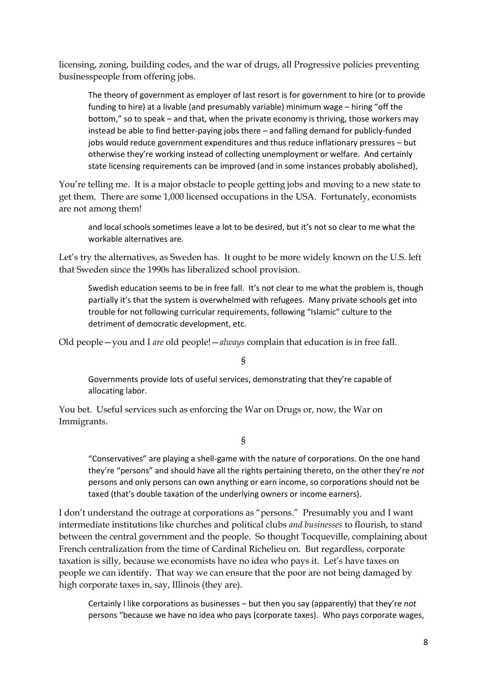licensing, zoning, building codes, and the war of drugs, all Progressive policies preventing businesspeople from offering jobs.

The theory of government as employer of last resort is for government to hire (or to provide funding to hire) at a livable (and presumably variable) minimum wage – hiring "off the bottom," so to speak – and that, when the private economy is thriving, those workers may instead be able to find better-paying jobs there – and falling demand for publicly-funded jobs would reduce government expenditures and thus reduce inflationary pressures – but otherwise they're working instead of collecting unemployment or welfare. And certainly state licensing requirements can be improved (and in some instances probably abolished),

You're telling me. It is a major obstacle to people getting jobs and moving to a new state to get them. There are some 1,000 licensed occupations in the USA. Fortunately, economists are not among them!

and local schools sometimes leave a lot to be desired, but it's not so clear to me what the workable alternatives are.

Let's try the alternatives, as Sweden has. It ought to be more widely known on the U.S. left that Sweden since the 1990s has liberalized school provision.

Swedish education seems to be in free fall. It's not clear to me what the problem is, though partially it's that the system is overwhelmed with refugees. Many private schools get into trouble for not following curricular requirements, following "Islamic" culture to the detriment of democratic development, etc.

Old people—you and I *are* old people!—*always* complain that education is in free fall.

§

Governments provide lots of useful services, demonstrating that they're capable of allocating labor.

You bet. Useful services such as enforcing the War on Drugs or, now, the War on Immigrants.

§

"Conservatives" are playing a shell-game with the nature of corporations. On the one hand they're "persons" and should have all the rights pertaining thereto, on the other they're *not* persons and only persons can own anything or earn income, so corporations should not be taxed (that's double taxation of the underlying owners or income earners).

I don't understand the outrage at corporations as "persons." Presumably you and I want intermediate institutions like churches and political clubs *and businesses* to flourish, to stand between the central government and the people. So thought Tocqueville, complaining about French centralization from the time of Cardinal Richelieu on. But regardless, corporate taxation is silly, because we economists have no idea who pays it. Let's have taxes on people we can identify. That way we can ensure that the poor are not being damaged by high corporate taxes in, say, Illinois (they are).

Certainly I like corporations as businesses – but then you say (apparently) that they're *not*  persons "because we have no idea who pays (corporate taxes). Who pays corporate wages,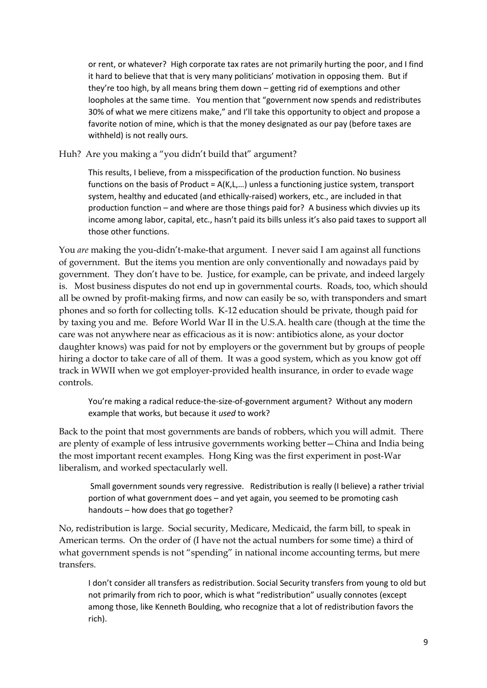or rent, or whatever? High corporate tax rates are not primarily hurting the poor, and I find it hard to believe that that is very many politicians' motivation in opposing them. But if they're too high, by all means bring them down – getting rid of exemptions and other loopholes at the same time. You mention that "government now spends and redistributes 30% of what we mere citizens make," and I'll take this opportunity to object and propose a favorite notion of mine, which is that the money designated as our pay (before taxes are withheld) is not really ours.

Huh? Are you making a "you didn't build that" argument?

This results, I believe, from a misspecification of the production function. No business functions on the basis of Product =  $A(K,L,...)$  unless a functioning justice system, transport system, healthy and educated (and ethically-raised) workers, etc., are included in that production function – and where are those things paid for? A business which divvies up its income among labor, capital, etc., hasn't paid its bills unless it's also paid taxes to support all those other functions.

You *are* making the you-didn't-make-that argument. I never said I am against all functions of government. But the items you mention are only conventionally and nowadays paid by government. They don't have to be. Justice, for example, can be private, and indeed largely is. Most business disputes do not end up in governmental courts. Roads, too, which should all be owned by profit-making firms, and now can easily be so, with transponders and smart phones and so forth for collecting tolls. K-12 education should be private, though paid for by taxing you and me. Before World War II in the U.S.A. health care (though at the time the care was not anywhere near as efficacious as it is now: antibiotics alone, as your doctor daughter knows) was paid for not by employers or the government but by groups of people hiring a doctor to take care of all of them. It was a good system, which as you know got off track in WWII when we got employer-provided health insurance, in order to evade wage controls.

You're making a radical reduce-the-size-of-government argument? Without any modern example that works, but because it *used* to work?

Back to the point that most governments are bands of robbers, which you will admit. There are plenty of example of less intrusive governments working better—China and India being the most important recent examples. Hong King was the first experiment in post-War liberalism, and worked spectacularly well.

Small government sounds very regressive. Redistribution is really (I believe) a rather trivial portion of what government does – and yet again, you seemed to be promoting cash handouts – how does that go together?

No, redistribution is large. Social security, Medicare, Medicaid, the farm bill, to speak in American terms. On the order of (I have not the actual numbers for some time) a third of what government spends is not "spending" in national income accounting terms, but mere transfers.

I don't consider all transfers as redistribution. Social Security transfers from young to old but not primarily from rich to poor, which is what "redistribution" usually connotes (except among those, like Kenneth Boulding, who recognize that a lot of redistribution favors the rich).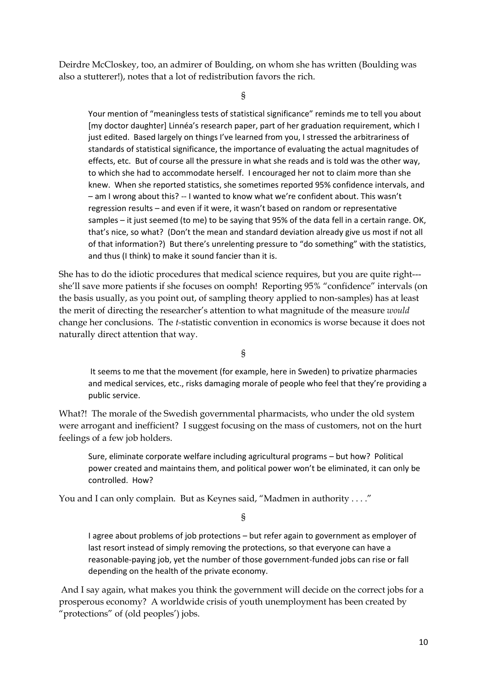Deirdre McCloskey, too, an admirer of Boulding, on whom she has written (Boulding was also a stutterer!), notes that a lot of redistribution favors the rich.

§

Your mention of "meaningless tests of statistical significance" reminds me to tell you about [my doctor daughter] Linnéa's research paper, part of her graduation requirement, which I just edited. Based largely on things I've learned from you, I stressed the arbitrariness of standards of statistical significance, the importance of evaluating the actual magnitudes of effects, etc. But of course all the pressure in what she reads and is told was the other way, to which she had to accommodate herself. I encouraged her not to claim more than she knew. When she reported statistics, she sometimes reported 95% confidence intervals, and – am I wrong about this? -- I wanted to know what we're confident about. This wasn't regression results – and even if it were, it wasn't based on random or representative samples – it just seemed (to me) to be saying that 95% of the data fell in a certain range. OK, that's nice, so what? (Don't the mean and standard deviation already give us most if not all of that information?) But there's unrelenting pressure to "do something" with the statistics, and thus (I think) to make it sound fancier than it is.

She has to do the idiotic procedures that medical science requires, but you are quite right-- she'll save more patients if she focuses on oomph! Reporting 95% "confidence" intervals (on the basis usually, as you point out, of sampling theory applied to non-samples) has at least the merit of directing the researcher's attention to what magnitude of the measure *would* change her conclusions. The *t-*statistic convention in economics is worse because it does not naturally direct attention that way.

§

It seems to me that the movement (for example, here in Sweden) to privatize pharmacies and medical services, etc., risks damaging morale of people who feel that they're providing a public service.

What?! The morale of the Swedish governmental pharmacists, who under the old system were arrogant and inefficient? I suggest focusing on the mass of customers, not on the hurt feelings of a few job holders.

Sure, eliminate corporate welfare including agricultural programs – but how? Political power created and maintains them, and political power won't be eliminated, it can only be controlled. How?

You and I can only complain. But as Keynes said, "Madmen in authority . . . ."

§

I agree about problems of job protections – but refer again to government as employer of last resort instead of simply removing the protections, so that everyone can have a reasonable-paying job, yet the number of those government-funded jobs can rise or fall depending on the health of the private economy.

And I say again, what makes you think the government will decide on the correct jobs for a prosperous economy? A worldwide crisis of youth unemployment has been created by "protections" of (old peoples') jobs.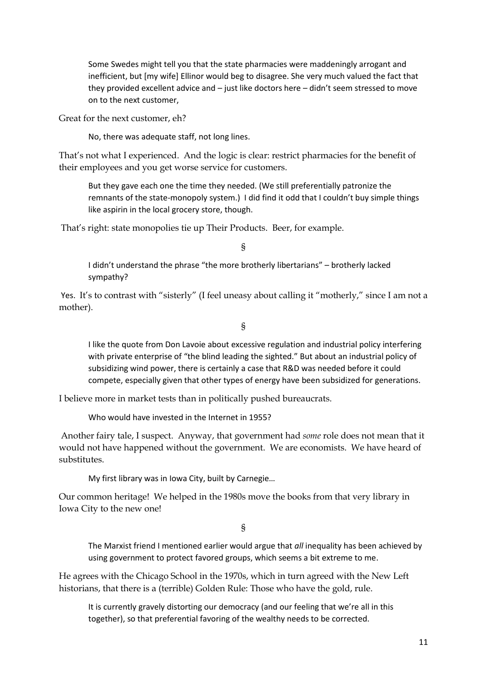Some Swedes might tell you that the state pharmacies were maddeningly arrogant and inefficient, but [my wife] Ellinor would beg to disagree. She very much valued the fact that they provided excellent advice and – just like doctors here – didn't seem stressed to move on to the next customer,

Great for the next customer, eh?

No, there was adequate staff, not long lines.

That's not what I experienced. And the logic is clear: restrict pharmacies for the benefit of their employees and you get worse service for customers.

But they gave each one the time they needed. (We still preferentially patronize the remnants of the state-monopoly system.) I did find it odd that I couldn't buy simple things like aspirin in the local grocery store, though.

That's right: state monopolies tie up Their Products. Beer, for example.

§

I didn't understand the phrase "the more brotherly libertarians" – brotherly lacked sympathy?

Yes. It's to contrast with "sisterly" (I feel uneasy about calling it "motherly," since I am not a mother).

§

I like the quote from Don Lavoie about excessive regulation and industrial policy interfering with private enterprise of "the blind leading the sighted." But about an industrial policy of subsidizing wind power, there is certainly a case that R&D was needed before it could compete, especially given that other types of energy have been subsidized for generations.

I believe more in market tests than in politically pushed bureaucrats.

Who would have invested in the Internet in 1955?

Another fairy tale, I suspect. Anyway, that government had *some* role does not mean that it would not have happened without the government. We are economists. We have heard of substitutes.

My first library was in Iowa City, built by Carnegie…

Our common heritage! We helped in the 1980s move the books from that very library in Iowa City to the new one!

§

The Marxist friend I mentioned earlier would argue that *all* inequality has been achieved by using government to protect favored groups, which seems a bit extreme to me.

He agrees with the Chicago School in the 1970s, which in turn agreed with the New Left historians, that there is a (terrible) Golden Rule: Those who have the gold, rule.

It is currently gravely distorting our democracy (and our feeling that we're all in this together), so that preferential favoring of the wealthy needs to be corrected.